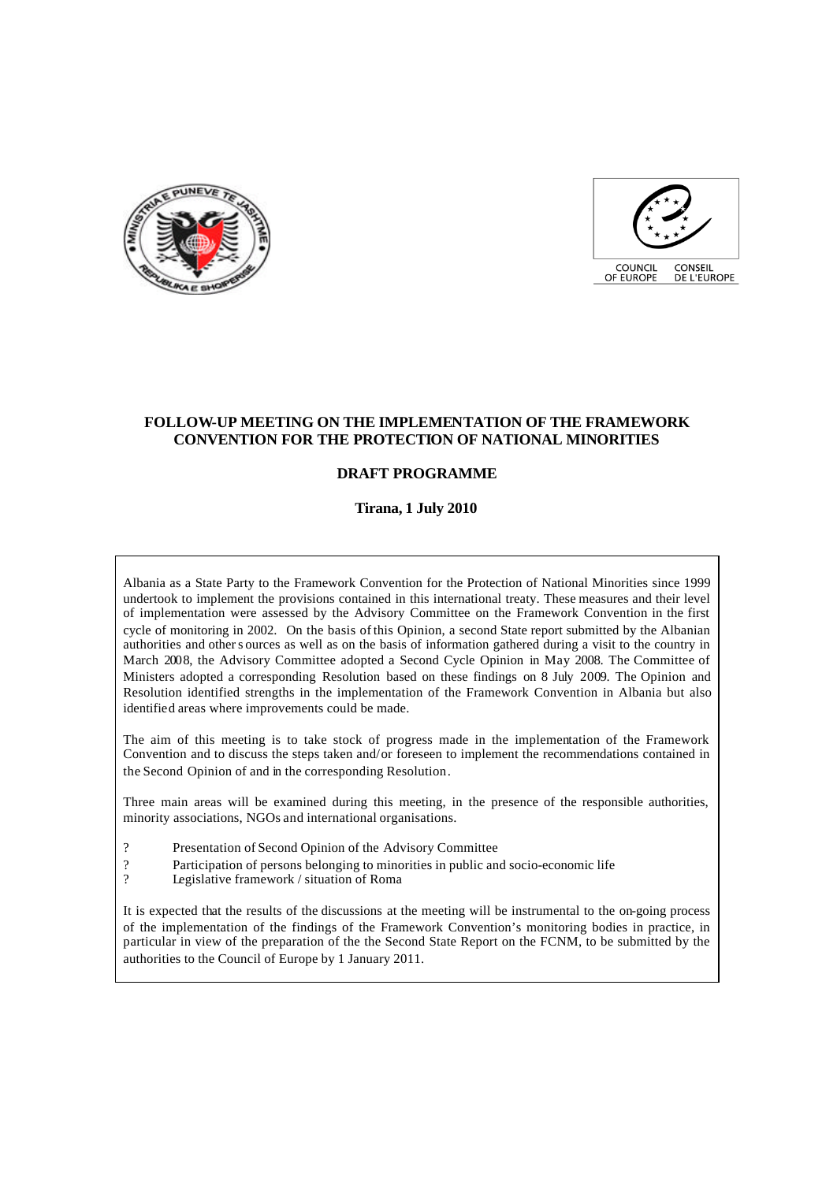



## **FOLLOW-UP MEETING ON THE IMPLEMENTATION OF THE FRAMEWORK CONVENTION FOR THE PROTECTION OF NATIONAL MINORITIES**

# **DRAFT PROGRAMME**

#### **Tirana, 1 July 2010**

Albania as a State Party to the Framework Convention for the Protection of National Minorities since 1999 undertook to implement the provisions contained in this international treaty. These measures and their level of implementation were assessed by the Advisory Committee on the Framework Convention in the first cycle of monitoring in 2002. On the basis of this Opinion, a second State report submitted by the Albanian authorities and other s ources as well as on the basis of information gathered during a visit to the country in March 2008, the Advisory Committee adopted a Second Cycle Opinion in May 2008. The Committee of Ministers adopted a corresponding Resolution based on these findings on 8 July 2009. The Opinion and Resolution identified strengths in the implementation of the Framework Convention in Albania but also identified areas where improvements could be made.

The aim of this meeting is to take stock of progress made in the implementation of the Framework Convention and to discuss the steps taken and/or foreseen to implement the recommendations contained in the Second Opinion of and in the corresponding Resolution.

Three main areas will be examined during this meeting, in the presence of the responsible authorities, minority associations, NGOs and international organisations.

- ? Presentation of Second Opinion of the Advisory Committee
- ? Participation of persons belonging to minorities in public and socio-economic life<br>Perislative framework / situation of Roma
- Legislative framework / situation of Roma

It is expected that the results of the discussions at the meeting will be instrumental to the on-going process of the implementation of the findings of the Framework Convention's monitoring bodies in practice, in particular in view of the preparation of the the Second State Report on the FCNM, to be submitted by the authorities to the Council of Europe by 1 January 2011.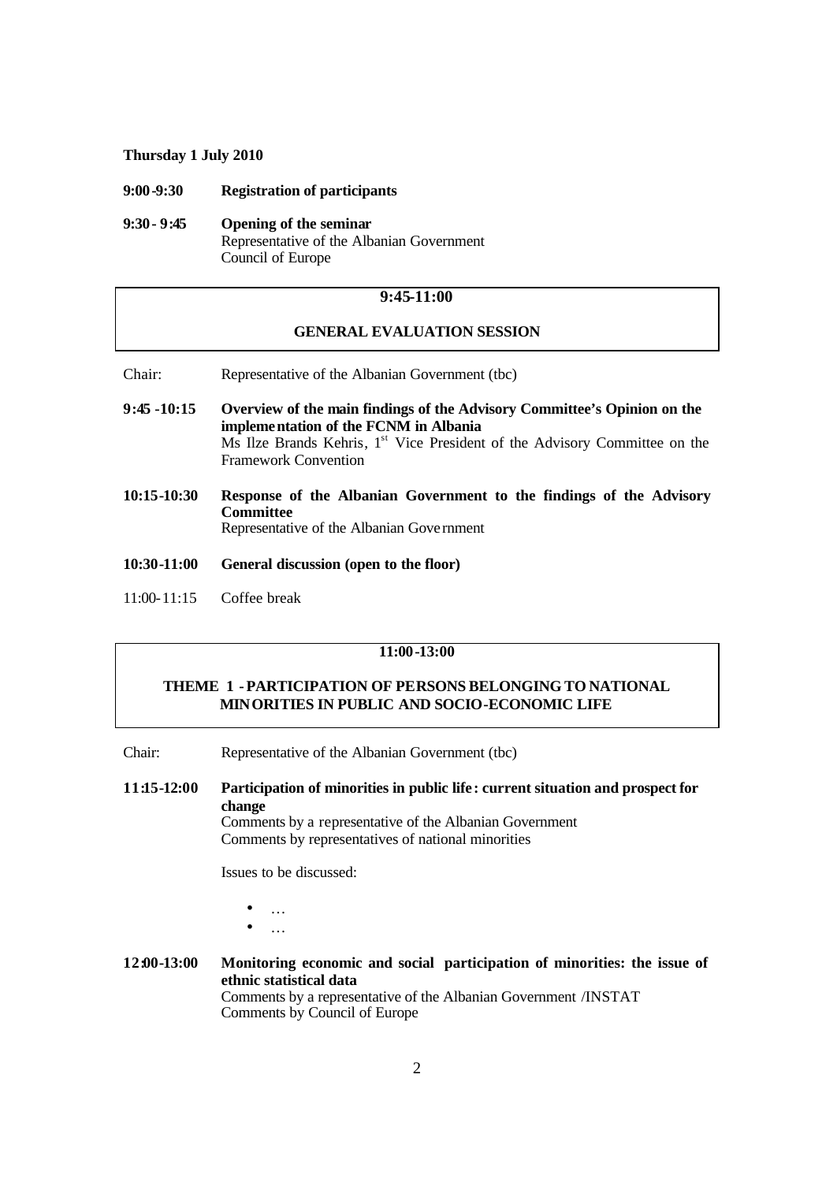#### **Thursday 1 July 2010**

#### **9:00-9:30 Registration of participants**

#### **9:30- 9:45 Opening of the seminar**  Representative of the Albanian Government Council of Europe

### **9:45-11:00**

### **GENERAL EVALUATION SESSION**

- Chair: Representative of the Albanian Government (tbc)
- **9:45 -10:15 Overview of the main findings of the Advisory Committee's Opinion on the implementation of the FCNM in Albania** Ms Ilze Brands Kehris, 1<sup>st</sup> Vice President of the Advisory Committee on the Framework Convention
- **10:15-10:30 Response of the Albanian Government to the findings of the Advisory Committee**  Representative of the Albanian Gove rnment
- **10:30-11:00 General discussion (open to the floor)**
- 11:00-11:15 Coffee break

#### **11:00-13:00**

## **THEME 1 -PARTICIPATION OF PERSONS BELONGING TO NATIONAL MINORITIES IN PUBLIC AND SOCIO-ECONOMIC LIFE**

Chair: Representative of the Albanian Government (tbc)

**11:15-12:00 Participation of minorities in public life : current situation and prospect for change**

Comments by a representative of the Albanian Government Comments by representatives of national minorities

Issues to be discussed:

- …
- …
- **12:00-13:00 Monitoring economic and social participation of minorities: the issue of ethnic statistical data** Comments by a representative of the Albanian Government /INSTAT Comments by Council of Europe